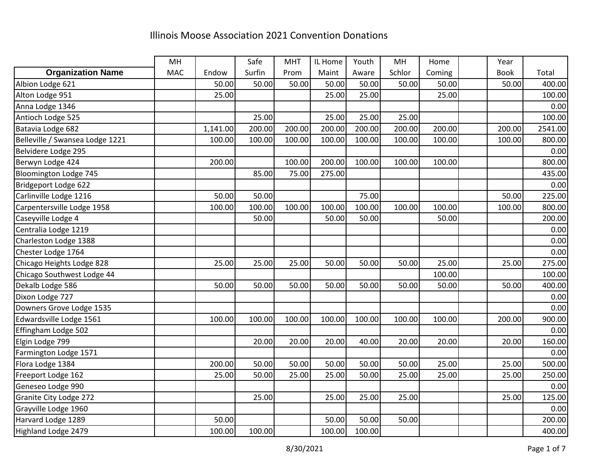|                                 | MH         |          | Safe   | <b>MHT</b> | IL Home | Youth  | MH     | Home   | Year        |         |
|---------------------------------|------------|----------|--------|------------|---------|--------|--------|--------|-------------|---------|
| <b>Organization Name</b>        | <b>MAC</b> | Endow    | Surfin | Prom       | Maint   | Aware  | Schlor | Coming | <b>Book</b> | Total   |
| Albion Lodge 621                |            | 50.00    | 50.00  | 50.00      | 50.00   | 50.00  | 50.00  | 50.00  | 50.00       | 400.00  |
| Alton Lodge 951                 |            | 25.00    |        |            | 25.00   | 25.00  |        | 25.00  |             | 100.00  |
| Anna Lodge 1346                 |            |          |        |            |         |        |        |        |             | 0.00    |
| Antioch Lodge 525               |            |          | 25.00  |            | 25.00   | 25.00  | 25.00  |        |             | 100.00  |
| Batavia Lodge 682               |            | 1,141.00 | 200.00 | 200.00     | 200.00  | 200.00 | 200.00 | 200.00 | 200.00      | 2541.00 |
| Belleville / Swansea Lodge 1221 |            | 100.00   | 100.00 | 100.00     | 100.00  | 100.00 | 100.00 | 100.00 | 100.00      | 800.00  |
| Belvidere Lodge 295             |            |          |        |            |         |        |        |        |             | 0.00    |
| Berwyn Lodge 424                |            | 200.00   |        | 100.00     | 200.00  | 100.00 | 100.00 | 100.00 |             | 800.00  |
| Bloomington Lodge 745           |            |          | 85.00  | 75.00      | 275.00  |        |        |        |             | 435.00  |
| Bridgeport Lodge 622            |            |          |        |            |         |        |        |        |             | 0.00    |
| Carlinville Lodge 1216          |            | 50.00    | 50.00  |            |         | 75.00  |        |        | 50.00       | 225.00  |
| Carpentersville Lodge 1958      |            | 100.00   | 100.00 | 100.00     | 100.00  | 100.00 | 100.00 | 100.00 | 100.00      | 800.00  |
| Caseyville Lodge 4              |            |          | 50.00  |            | 50.00   | 50.00  |        | 50.00  |             | 200.00  |
| Centralia Lodge 1219            |            |          |        |            |         |        |        |        |             | 0.00    |
| Charleston Lodge 1388           |            |          |        |            |         |        |        |        |             | 0.00    |
| Chester Lodge 1764              |            |          |        |            |         |        |        |        |             | 0.00    |
| Chicago Heights Lodge 828       |            | 25.00    | 25.00  | 25.00      | 50.00   | 50.00  | 50.00  | 25.00  | 25.00       | 275.00  |
| Chicago Southwest Lodge 44      |            |          |        |            |         |        |        | 100.00 |             | 100.00  |
| Dekalb Lodge 586                |            | 50.00    | 50.00  | 50.00      | 50.00   | 50.00  | 50.00  | 50.00  | 50.00       | 400.00  |
| Dixon Lodge 727                 |            |          |        |            |         |        |        |        |             | 0.00    |
| Downers Grove Lodge 1535        |            |          |        |            |         |        |        |        |             | 0.00    |
| Edwardsville Lodge 1561         |            | 100.00   | 100.00 | 100.00     | 100.00  | 100.00 | 100.00 | 100.00 | 200.00      | 900.00  |
| Effingham Lodge 502             |            |          |        |            |         |        |        |        |             | 0.00    |
| Elgin Lodge 799                 |            |          | 20.00  | 20.00      | 20.00   | 40.00  | 20.00  | 20.00  | 20.00       | 160.00  |
| Farmington Lodge 1571           |            |          |        |            |         |        |        |        |             | 0.00    |
| Flora Lodge 1384                |            | 200.00   | 50.00  | 50.00      | 50.00   | 50.00  | 50.00  | 25.00  | 25.00       | 500.00  |
| Freeport Lodge 162              |            | 25.00    | 50.00  | 25.00      | 25.00   | 50.00  | 25.00  | 25.00  | 25.00       | 250.00  |
| Geneseo Lodge 990               |            |          |        |            |         |        |        |        |             | 0.00    |
| Granite City Lodge 272          |            |          | 25.00  |            | 25.00   | 25.00  | 25.00  |        | 25.00       | 125.00  |
| Grayville Lodge 1960            |            |          |        |            |         |        |        |        |             | 0.00    |
| Harvard Lodge 1289              |            | 50.00    |        |            | 50.00   | 50.00  | 50.00  |        |             | 200.00  |
| Highland Lodge 2479             |            | 100.00   | 100.00 |            | 100.00  | 100.00 |        |        |             | 400.00  |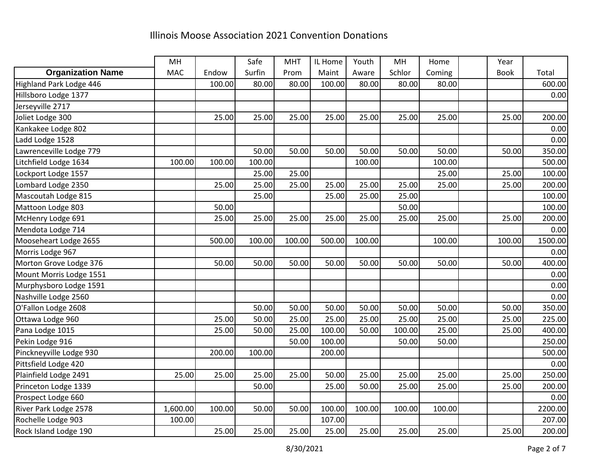|                          | MH         |        | Safe   | <b>MHT</b> | IL Home | Youth  | MH     | Home   | Year        |         |
|--------------------------|------------|--------|--------|------------|---------|--------|--------|--------|-------------|---------|
| <b>Organization Name</b> | <b>MAC</b> | Endow  | Surfin | Prom       | Maint   | Aware  | Schlor | Coming | <b>Book</b> | Total   |
| Highland Park Lodge 446  |            | 100.00 | 80.00  | 80.00      | 100.00  | 80.00  | 80.00  | 80.00  |             | 600.00  |
| Hillsboro Lodge 1377     |            |        |        |            |         |        |        |        |             | 0.00    |
| Jerseyville 2717         |            |        |        |            |         |        |        |        |             |         |
| Joliet Lodge 300         |            | 25.00  | 25.00  | 25.00      | 25.00   | 25.00  | 25.00  | 25.00  | 25.00       | 200.00  |
| Kankakee Lodge 802       |            |        |        |            |         |        |        |        |             | 0.00    |
| Ladd Lodge 1528          |            |        |        |            |         |        |        |        |             | 0.00    |
| Lawrenceville Lodge 779  |            |        | 50.00  | 50.00      | 50.00   | 50.00  | 50.00  | 50.00  | 50.00       | 350.00  |
| Litchfield Lodge 1634    | 100.00     | 100.00 | 100.00 |            |         | 100.00 |        | 100.00 |             | 500.00  |
| Lockport Lodge 1557      |            |        | 25.00  | 25.00      |         |        |        | 25.00  | 25.00       | 100.00  |
| Lombard Lodge 2350       |            | 25.00  | 25.00  | 25.00      | 25.00   | 25.00  | 25.00  | 25.00  | 25.00       | 200.00  |
| Mascoutah Lodge 815      |            |        | 25.00  |            | 25.00   | 25.00  | 25.00  |        |             | 100.00  |
| Mattoon Lodge 803        |            | 50.00  |        |            |         |        | 50.00  |        |             | 100.00  |
| McHenry Lodge 691        |            | 25.00  | 25.00  | 25.00      | 25.00   | 25.00  | 25.00  | 25.00  | 25.00       | 200.00  |
| Mendota Lodge 714        |            |        |        |            |         |        |        |        |             | 0.00    |
| Mooseheart Lodge 2655    |            | 500.00 | 100.00 | 100.00     | 500.00  | 100.00 |        | 100.00 | 100.00      | 1500.00 |
| Morris Lodge 967         |            |        |        |            |         |        |        |        |             | 0.00    |
| Morton Grove Lodge 376   |            | 50.00  | 50.00  | 50.00      | 50.00   | 50.00  | 50.00  | 50.00  | 50.00       | 400.00  |
| Mount Morris Lodge 1551  |            |        |        |            |         |        |        |        |             | 0.00    |
| Murphysboro Lodge 1591   |            |        |        |            |         |        |        |        |             | 0.00    |
| Nashville Lodge 2560     |            |        |        |            |         |        |        |        |             | 0.00    |
| O'Fallon Lodge 2608      |            |        | 50.00  | 50.00      | 50.00   | 50.00  | 50.00  | 50.00  | 50.00       | 350.00  |
| Ottawa Lodge 960         |            | 25.00  | 50.00  | 25.00      | 25.00   | 25.00  | 25.00  | 25.00  | 25.00       | 225.00  |
| Pana Lodge 1015          |            | 25.00  | 50.00  | 25.00      | 100.00  | 50.00  | 100.00 | 25.00  | 25.00       | 400.00  |
| Pekin Lodge 916          |            |        |        | 50.00      | 100.00  |        | 50.00  | 50.00  |             | 250.00  |
| Pinckneyville Lodge 930  |            | 200.00 | 100.00 |            | 200.00  |        |        |        |             | 500.00  |
| Pittsfield Lodge 420     |            |        |        |            |         |        |        |        |             | 0.00    |
| Plainfield Lodge 2491    | 25.00      | 25.00  | 25.00  | 25.00      | 50.00   | 25.00  | 25.00  | 25.00  | 25.00       | 250.00  |
| Princeton Lodge 1339     |            |        | 50.00  |            | 25.00   | 50.00  | 25.00  | 25.00  | 25.00       | 200.00  |
| Prospect Lodge 660       |            |        |        |            |         |        |        |        |             | 0.00    |
| River Park Lodge 2578    | 1,600.00   | 100.00 | 50.00  | 50.00      | 100.00  | 100.00 | 100.00 | 100.00 |             | 2200.00 |
| Rochelle Lodge 903       | 100.00     |        |        |            | 107.00  |        |        |        |             | 207.00  |
| Rock Island Lodge 190    |            | 25.00  | 25.00  | 25.00      | 25.00   | 25.00  | 25.00  | 25.00  | 25.00       | 200.00  |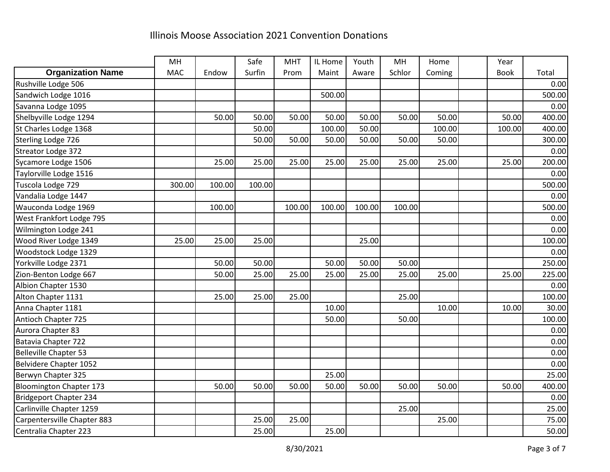|                                | MH         |        | Safe   | <b>MHT</b> | IL Home | Youth  | MH     | Home   | Year        |        |
|--------------------------------|------------|--------|--------|------------|---------|--------|--------|--------|-------------|--------|
| <b>Organization Name</b>       | <b>MAC</b> | Endow  | Surfin | Prom       | Maint   | Aware  | Schlor | Coming | <b>Book</b> | Total  |
| Rushville Lodge 506            |            |        |        |            |         |        |        |        |             | 0.00   |
| Sandwich Lodge 1016            |            |        |        |            | 500.00  |        |        |        |             | 500.00 |
| Savanna Lodge 1095             |            |        |        |            |         |        |        |        |             | 0.00   |
| Shelbyville Lodge 1294         |            | 50.00  | 50.00  | 50.00      | 50.00   | 50.00  | 50.00  | 50.00  | 50.00       | 400.00 |
| St Charles Lodge 1368          |            |        | 50.00  |            | 100.00  | 50.00  |        | 100.00 | 100.00      | 400.00 |
| Sterling Lodge 726             |            |        | 50.00  | 50.00      | 50.00   | 50.00  | 50.00  | 50.00  |             | 300.00 |
| Streator Lodge 372             |            |        |        |            |         |        |        |        |             | 0.00   |
| Sycamore Lodge 1506            |            | 25.00  | 25.00  | 25.00      | 25.00   | 25.00  | 25.00  | 25.00  | 25.00       | 200.00 |
| Taylorville Lodge 1516         |            |        |        |            |         |        |        |        |             | 0.00   |
| Tuscola Lodge 729              | 300.00     | 100.00 | 100.00 |            |         |        |        |        |             | 500.00 |
| Vandalia Lodge 1447            |            |        |        |            |         |        |        |        |             | 0.00   |
| Wauconda Lodge 1969            |            | 100.00 |        | 100.00     | 100.00  | 100.00 | 100.00 |        |             | 500.00 |
| West Frankfort Lodge 795       |            |        |        |            |         |        |        |        |             | 0.00   |
| Wilmington Lodge 241           |            |        |        |            |         |        |        |        |             | 0.00   |
| Wood River Lodge 1349          | 25.00      | 25.00  | 25.00  |            |         | 25.00  |        |        |             | 100.00 |
| Woodstock Lodge 1329           |            |        |        |            |         |        |        |        |             | 0.00   |
| Yorkville Lodge 2371           |            | 50.00  | 50.00  |            | 50.00   | 50.00  | 50.00  |        |             | 250.00 |
| Zion-Benton Lodge 667          |            | 50.00  | 25.00  | 25.00      | 25.00   | 25.00  | 25.00  | 25.00  | 25.00       | 225.00 |
| Albion Chapter 1530            |            |        |        |            |         |        |        |        |             | 0.00   |
| Alton Chapter 1131             |            | 25.00  | 25.00  | 25.00      |         |        | 25.00  |        |             | 100.00 |
| Anna Chapter 1181              |            |        |        |            | 10.00   |        |        | 10.00  | 10.00       | 30.00  |
| Antioch Chapter 725            |            |        |        |            | 50.00   |        | 50.00  |        |             | 100.00 |
| Aurora Chapter 83              |            |        |        |            |         |        |        |        |             | 0.00   |
| Batavia Chapter 722            |            |        |        |            |         |        |        |        |             | 0.00   |
| Belleville Chapter 53          |            |        |        |            |         |        |        |        |             | 0.00   |
| Belvidere Chapter 1052         |            |        |        |            |         |        |        |        |             | 0.00   |
| Berwyn Chapter 325             |            |        |        |            | 25.00   |        |        |        |             | 25.00  |
| <b>Bloomington Chapter 173</b> |            | 50.00  | 50.00  | 50.00      | 50.00   | 50.00  | 50.00  | 50.00  | 50.00       | 400.00 |
| Bridgeport Chapter 234         |            |        |        |            |         |        |        |        |             | 0.00   |
| Carlinville Chapter 1259       |            |        |        |            |         |        | 25.00  |        |             | 25.00  |
| Carpentersville Chapter 883    |            |        | 25.00  | 25.00      |         |        |        | 25.00  |             | 75.00  |
| Centralia Chapter 223          |            |        | 25.00  |            | 25.00   |        |        |        |             | 50.00  |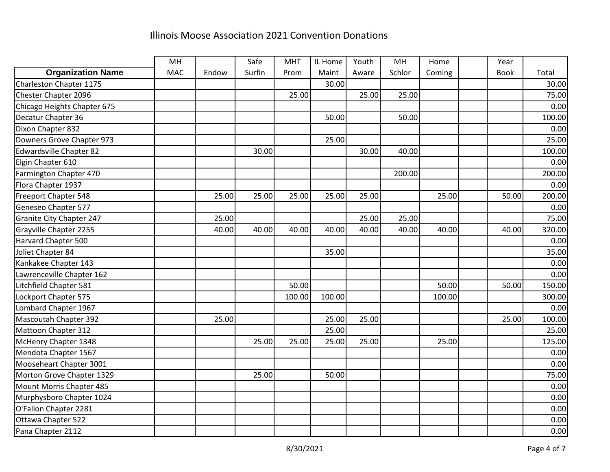|                                 | MH         |       | Safe   | <b>MHT</b> | IL Home | Youth | MH     | Home   | Year        |        |
|---------------------------------|------------|-------|--------|------------|---------|-------|--------|--------|-------------|--------|
| <b>Organization Name</b>        | <b>MAC</b> | Endow | Surfin | Prom       | Maint   | Aware | Schlor | Coming | <b>Book</b> | Total  |
| Charleston Chapter 1175         |            |       |        |            | 30.00   |       |        |        |             | 30.00  |
| Chester Chapter 2096            |            |       |        | 25.00      |         | 25.00 | 25.00  |        |             | 75.00  |
| Chicago Heights Chapter 675     |            |       |        |            |         |       |        |        |             | 0.00   |
| Decatur Chapter 36              |            |       |        |            | 50.00   |       | 50.00  |        |             | 100.00 |
| Dixon Chapter 832               |            |       |        |            |         |       |        |        |             | 0.00   |
| Downers Grove Chapter 973       |            |       |        |            | 25.00   |       |        |        |             | 25.00  |
| <b>Edwardsville Chapter 82</b>  |            |       | 30.00  |            |         | 30.00 | 40.00  |        |             | 100.00 |
| Elgin Chapter 610               |            |       |        |            |         |       |        |        |             | 0.00   |
| Farmington Chapter 470          |            |       |        |            |         |       | 200.00 |        |             | 200.00 |
| Flora Chapter 1937              |            |       |        |            |         |       |        |        |             | 0.00   |
| Freeport Chapter 548            |            | 25.00 | 25.00  | 25.00      | 25.00   | 25.00 |        | 25.00  | 50.00       | 200.00 |
| Geneseo Chapter 577             |            |       |        |            |         |       |        |        |             | 0.00   |
| <b>Granite City Chapter 247</b> |            | 25.00 |        |            |         | 25.00 | 25.00  |        |             | 75.00  |
| Grayville Chapter 2255          |            | 40.00 | 40.00  | 40.00      | 40.00   | 40.00 | 40.00  | 40.00  | 40.00       | 320.00 |
| Harvard Chapter 500             |            |       |        |            |         |       |        |        |             | 0.00   |
| Joliet Chapter 84               |            |       |        |            | 35.00   |       |        |        |             | 35.00  |
| Kankakee Chapter 143            |            |       |        |            |         |       |        |        |             | 0.00   |
| Lawrenceville Chapter 162       |            |       |        |            |         |       |        |        |             | 0.00   |
| Litchfield Chapter 581          |            |       |        | 50.00      |         |       |        | 50.00  | 50.00       | 150.00 |
| Lockport Chapter 575            |            |       |        | 100.00     | 100.00  |       |        | 100.00 |             | 300.00 |
| Lombard Chapter 1967            |            |       |        |            |         |       |        |        |             | 0.00   |
| <b>Mascoutah Chapter 392</b>    |            | 25.00 |        |            | 25.00   | 25.00 |        |        | 25.00       | 100.00 |
| Mattoon Chapter 312             |            |       |        |            | 25.00   |       |        |        |             | 25.00  |
| McHenry Chapter 1348            |            |       | 25.00  | 25.00      | 25.00   | 25.00 |        | 25.00  |             | 125.00 |
| Mendota Chapter 1567            |            |       |        |            |         |       |        |        |             | 0.00   |
| Mooseheart Chapter 3001         |            |       |        |            |         |       |        |        |             | 0.00   |
| Morton Grove Chapter 1329       |            |       | 25.00  |            | 50.00   |       |        |        |             | 75.00  |
| Mount Morris Chapter 485        |            |       |        |            |         |       |        |        |             | 0.00   |
| Murphysboro Chapter 1024        |            |       |        |            |         |       |        |        |             | 0.00   |
| O'Fallon Chapter 2281           |            |       |        |            |         |       |        |        |             | 0.00   |
| Ottawa Chapter 522              |            |       |        |            |         |       |        |        |             | 0.00   |
| Pana Chapter 2112               |            |       |        |            |         |       |        |        |             | 0.00   |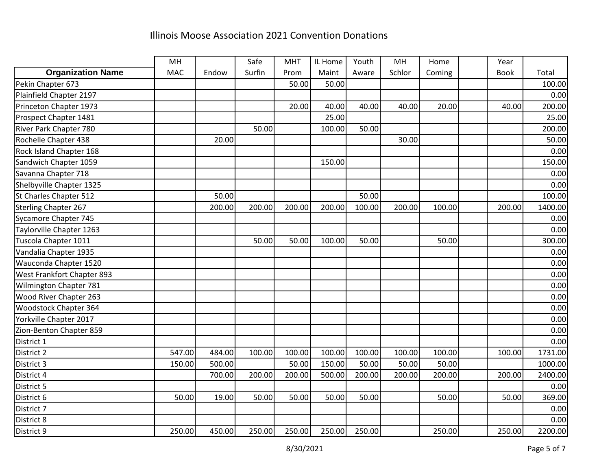|                               | MH         |        | Safe   | <b>MHT</b> | IL Home | Youth  | MH     | Home   | Year        |         |
|-------------------------------|------------|--------|--------|------------|---------|--------|--------|--------|-------------|---------|
| <b>Organization Name</b>      | <b>MAC</b> | Endow  | Surfin | Prom       | Maint   | Aware  | Schlor | Coming | <b>Book</b> | Total   |
| Pekin Chapter 673             |            |        |        | 50.00      | 50.00   |        |        |        |             | 100.00  |
| Plainfield Chapter 2197       |            |        |        |            |         |        |        |        |             | 0.00    |
| Princeton Chapter 1973        |            |        |        | 20.00      | 40.00   | 40.00  | 40.00  | 20.00  | 40.00       | 200.00  |
| Prospect Chapter 1481         |            |        |        |            | 25.00   |        |        |        |             | 25.00   |
| <b>River Park Chapter 780</b> |            |        | 50.00  |            | 100.00  | 50.00  |        |        |             | 200.00  |
| Rochelle Chapter 438          |            | 20.00  |        |            |         |        | 30.00  |        |             | 50.00   |
| Rock Island Chapter 168       |            |        |        |            |         |        |        |        |             | 0.00    |
| Sandwich Chapter 1059         |            |        |        |            | 150.00  |        |        |        |             | 150.00  |
| Savanna Chapter 718           |            |        |        |            |         |        |        |        |             | 0.00    |
| Shelbyville Chapter 1325      |            |        |        |            |         |        |        |        |             | 0.00    |
| St Charles Chapter 512        |            | 50.00  |        |            |         | 50.00  |        |        |             | 100.00  |
| <b>Sterling Chapter 267</b>   |            | 200.00 | 200.00 | 200.00     | 200.00  | 100.00 | 200.00 | 100.00 | 200.00      | 1400.00 |
| Sycamore Chapter 745          |            |        |        |            |         |        |        |        |             | 0.00    |
| Taylorville Chapter 1263      |            |        |        |            |         |        |        |        |             | 0.00    |
| Tuscola Chapter 1011          |            |        | 50.00  | 50.00      | 100.00  | 50.00  |        | 50.00  |             | 300.00  |
| Vandalia Chapter 1935         |            |        |        |            |         |        |        |        |             | 0.00    |
| Wauconda Chapter 1520         |            |        |        |            |         |        |        |        |             | 0.00    |
| West Frankfort Chapter 893    |            |        |        |            |         |        |        |        |             | 0.00    |
| Wilmington Chapter 781        |            |        |        |            |         |        |        |        |             | 0.00    |
| Wood River Chapter 263        |            |        |        |            |         |        |        |        |             | 0.00    |
| Woodstock Chapter 364         |            |        |        |            |         |        |        |        |             | 0.00    |
| Yorkville Chapter 2017        |            |        |        |            |         |        |        |        |             | 0.00    |
| Zion-Benton Chapter 859       |            |        |        |            |         |        |        |        |             | 0.00    |
| District 1                    |            |        |        |            |         |        |        |        |             | 0.00    |
| District 2                    | 547.00     | 484.00 | 100.00 | 100.00     | 100.00  | 100.00 | 100.00 | 100.00 | 100.00      | 1731.00 |
| District 3                    | 150.00     | 500.00 |        | 50.00      | 150.00  | 50.00  | 50.00  | 50.00  |             | 1000.00 |
| District 4                    |            | 700.00 | 200.00 | 200.00     | 500.00  | 200.00 | 200.00 | 200.00 | 200.00      | 2400.00 |
| District 5                    |            |        |        |            |         |        |        |        |             | 0.00    |
| District 6                    | 50.00      | 19.00  | 50.00  | 50.00      | 50.00   | 50.00  |        | 50.00  | 50.00       | 369.00  |
| District 7                    |            |        |        |            |         |        |        |        |             | 0.00    |
| District 8                    |            |        |        |            |         |        |        |        |             | 0.00    |
| District 9                    | 250.00     | 450.00 | 250.00 | 250.00     | 250.00  | 250.00 |        | 250.00 | 250.00      | 2200.00 |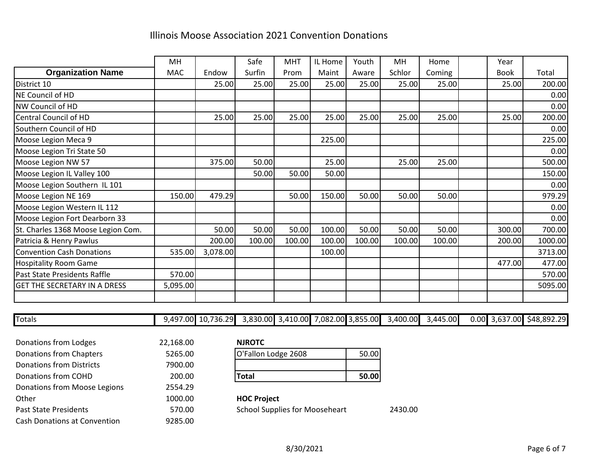|                                     | MH         |          | Safe   | <b>MHT</b> | IL Home | Youth  | MH     | Home   | Year        |         |
|-------------------------------------|------------|----------|--------|------------|---------|--------|--------|--------|-------------|---------|
| <b>Organization Name</b>            | <b>MAC</b> | Endow    | Surfin | Prom       | Maint   | Aware  | Schlor | Coming | <b>Book</b> | Total   |
| District 10                         |            | 25.00    | 25.00  | 25.00      | 25.00   | 25.00  | 25.00  | 25.00  | 25.00       | 200.00  |
| NE Council of HD                    |            |          |        |            |         |        |        |        |             | 0.00    |
| <b>NW Council of HD</b>             |            |          |        |            |         |        |        |        |             | 0.00    |
| Central Council of HD               |            | 25.00    | 25.00  | 25.00      | 25.00   | 25.00  | 25.00  | 25.00  | 25.00       | 200.00  |
| Southern Council of HD              |            |          |        |            |         |        |        |        |             | 0.00    |
| Moose Legion Meca 9                 |            |          |        |            | 225.00  |        |        |        |             | 225.00  |
| Moose Legion Tri State 50           |            |          |        |            |         |        |        |        |             | 0.00    |
| Moose Legion NW 57                  |            | 375.00   | 50.00  |            | 25.00   |        | 25.00  | 25.00  |             | 500.00  |
| Moose Legion IL Valley 100          |            |          | 50.00  | 50.00      | 50.00   |        |        |        |             | 150.00  |
| Moose Legion Southern IL 101        |            |          |        |            |         |        |        |        |             | 0.00    |
| Moose Legion NE 169                 | 150.00     | 479.29   |        | 50.00      | 150.00  | 50.00  | 50.00  | 50.00  |             | 979.29  |
| Moose Legion Western IL 112         |            |          |        |            |         |        |        |        |             | 0.00    |
| Moose Legion Fort Dearborn 33       |            |          |        |            |         |        |        |        |             | 0.00    |
| St. Charles 1368 Moose Legion Com.  |            | 50.00    | 50.00  | 50.00      | 100.00  | 50.00  | 50.00  | 50.00  | 300.00      | 700.00  |
| Patricia & Henry Pawlus             |            | 200.00   | 100.00 | 100.00     | 100.00  | 100.00 | 100.00 | 100.00 | 200.00      | 1000.00 |
| Convention Cash Donations           | 535.00     | 3,078.00 |        |            | 100.00  |        |        |        |             | 3713.00 |
| <b>Hospitality Room Game</b>        |            |          |        |            |         |        |        |        | 477.00      | 477.00  |
| Past State Presidents Raffle        | 570.00     |          |        |            |         |        |        |        |             | 570.00  |
| <b>GET THE SECRETARY IN A DRESS</b> | 5,095.00   |          |        |            |         |        |        |        |             | 5095.00 |
|                                     |            |          |        |            |         |        |        |        |             |         |

Totals 9,497.00 10,736.29 3,830.00 3,410.00 7,082.00 3,855.00 3,400.00 3,445.00 0.00 3,637.00 \$48,892.29

| Donations from Lodges               | 22,168.00 | <b>NJROTC</b>                         |       |         |
|-------------------------------------|-----------|---------------------------------------|-------|---------|
| Donations from Chapters             | 5265.00   | O'Fallon Lodge 2608                   | 50.00 |         |
| <b>Donations from Districts</b>     | 7900.00   |                                       |       |         |
| Donations from COHD                 | 200.00    | <b>Total</b>                          | 50.00 |         |
| Donations from Moose Legions        | 2554.29   |                                       |       |         |
| Other                               | 1000.00   | <b>HOC Project</b>                    |       |         |
| <b>Past State Presidents</b>        | 570.00    | <b>School Supplies for Mooseheart</b> |       | 2430.00 |
| <b>Cash Donations at Convention</b> | 9285.00   |                                       |       |         |

| <b>NJROTC</b>       |       |
|---------------------|-------|
| O'Fallon Lodge 2608 | 50.00 |
|                     |       |
| <b>ITotal</b>       | 50.00 |

### **HOC Project**